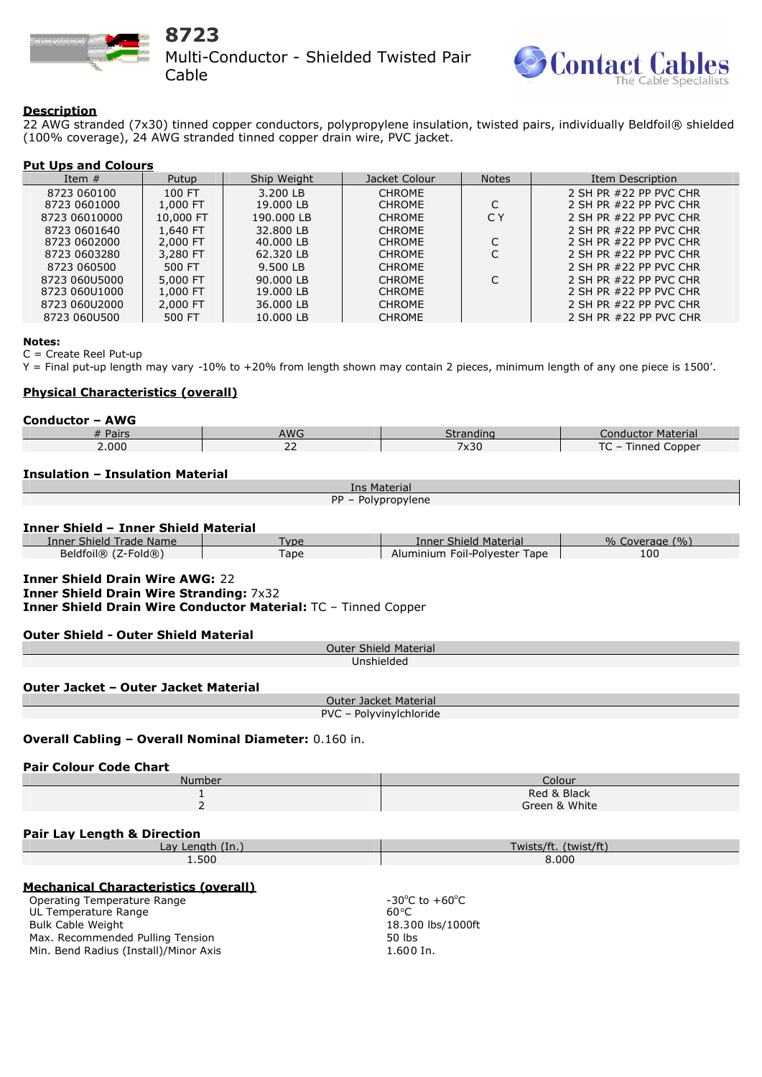

# **8723**

Multi-Conductor - Shielded Twisted Pair Cable



### **Description**

22 AWG stranded (7x30) tinned copper conductors, polypropylene insulation, twisted pairs, individually Beldfoil® shielded (100% coverage), 24 AWG stranded tinned copper drain wire, PVC jacket.

# **Put Ups and Colours**

| Item $#$      | Putup     | Ship Weight | Jacket Colour | <b>Notes</b> | Item Description       |
|---------------|-----------|-------------|---------------|--------------|------------------------|
| 8723 060100   | 100 FT    | 3.200 LB    | <b>CHROME</b> |              | 2 SH PR #22 PP PVC CHR |
| 8723 0601000  | 1,000 FT  | 19,000 LB   | <b>CHROME</b> |              | 2 SH PR #22 PP PVC CHR |
| 8723 06010000 | 10,000 FT | 190.000 LB  | <b>CHROME</b> | C Y          | 2 SH PR #22 PP PVC CHR |
| 8723 0601640  | 1,640 FT  | 32.800 LB   | <b>CHROME</b> |              | 2 SH PR #22 PP PVC CHR |
| 8723 0602000  | 2,000 FT  | 40,000 LB   | <b>CHROME</b> |              | 2 SH PR #22 PP PVC CHR |
| 8723 0603280  | 3,280 FT  | 62.320 LB   | <b>CHROME</b> |              | 2 SH PR #22 PP PVC CHR |
| 8723 060500   | 500 FT    | 9.500 LB    | <b>CHROME</b> |              | 2 SH PR #22 PP PVC CHR |
| 8723 060U5000 | 5,000 FT  | 90.000 LB   | <b>CHROME</b> |              | 2 SH PR #22 PP PVC CHR |
| 8723 060U1000 | 1,000 FT  | 19,000 LB   | <b>CHROME</b> |              | 2 SH PR #22 PP PVC CHR |
| 8723 060U2000 | 2,000 FT  | 36,000 LB   | <b>CHROME</b> |              | 2 SH PR #22 PP PVC CHR |
| 8723 060U500  | 500 FT    | 10.000 LB   | <b>CHROME</b> |              | 2 SH PR #22 PP PVC CHR |

#### **Notes:**

C = Create Reel Put-up

Y = Final put-up length may vary -10% to +20% from length shown may contain 2 pieces, minimum length of any one piece is 1500'.

# **Physical Characteristics (overall)**

| <b>Conductor - AWG</b> |     |           |                      |  |  |  |
|------------------------|-----|-----------|----------------------|--|--|--|
| # Pairs                | AWG | Strandinc | Conductor Material   |  |  |  |
| 2.000                  | ے   | 7x30      | - Tinned Copper<br>◡ |  |  |  |

# **Insulation – Insulation Material**

| Ins Material                                                                                                                                               |                              |                               |                     |  |  |  |
|------------------------------------------------------------------------------------------------------------------------------------------------------------|------------------------------|-------------------------------|---------------------|--|--|--|
| PP - Polypropylene                                                                                                                                         |                              |                               |                     |  |  |  |
|                                                                                                                                                            |                              |                               |                     |  |  |  |
| <b>Inner Shield - Inner Shield Material</b>                                                                                                                |                              |                               |                     |  |  |  |
| <b>Inner Shield Trade Name</b>                                                                                                                             | <b>Type</b>                  | <b>Inner Shield Material</b>  | $%$ Coverage $(\%)$ |  |  |  |
| Beldfoil® (Z-Fold®)                                                                                                                                        | Tape                         | Aluminium Foil-Polyester Tape | 100                 |  |  |  |
| <b>Inner Shield Drain Wire AWG: 22</b><br><b>Inner Shield Drain Wire Stranding: 7x32</b><br>Inner Shield Drain Wire Conductor Material: TC - Tinned Copper |                              |                               |                     |  |  |  |
| <b>Outer Shield - Outer Shield Material</b>                                                                                                                |                              |                               |                     |  |  |  |
|                                                                                                                                                            | <b>Outer Shield Material</b> |                               |                     |  |  |  |
| Unshielded                                                                                                                                                 |                              |                               |                     |  |  |  |
| Outer Jacket - Outer Jacket Material                                                                                                                       |                              |                               |                     |  |  |  |
| Outer Jacket Material<br>PVC - Polyvinylchloride                                                                                                           |                              |                               |                     |  |  |  |
|                                                                                                                                                            |                              |                               |                     |  |  |  |
| <b>Overall Cabling - Overall Nominal Diameter: 0.160 in.</b>                                                                                               |                              |                               |                     |  |  |  |
| <b>Pair Colour Code Chart</b>                                                                                                                              |                              |                               |                     |  |  |  |
| Number                                                                                                                                                     |                              | Colour                        |                     |  |  |  |
| 1                                                                                                                                                          |                              | Red & Black                   |                     |  |  |  |
| $\overline{\phantom{0}}$                                                                                                                                   |                              | Green & White                 |                     |  |  |  |
|                                                                                                                                                            |                              |                               |                     |  |  |  |
| <b>Pair Lay Length &amp; Direction</b>                                                                                                                     |                              |                               |                     |  |  |  |
| Lay Length (In.)                                                                                                                                           |                              | Twists/ft. (twist/ft)         |                     |  |  |  |
| 1.500                                                                                                                                                      |                              | 8.000                         |                     |  |  |  |
| Machentest Observatoristics (accountly                                                                                                                     |                              |                               |                     |  |  |  |

#### **Mechanical Characteristics (overall)**

Operating Temperature Range UL Temperature Range Bulk Cable Weight Max. Recommended Pulling Tension Min. Bend Radius (Install)/Minor Axis

-30 $^{\circ}$ C to +60 $^{\circ}$ C 60<sup>°</sup>C 18.300 lbs/1000ft 50 lbs 1.600 In.